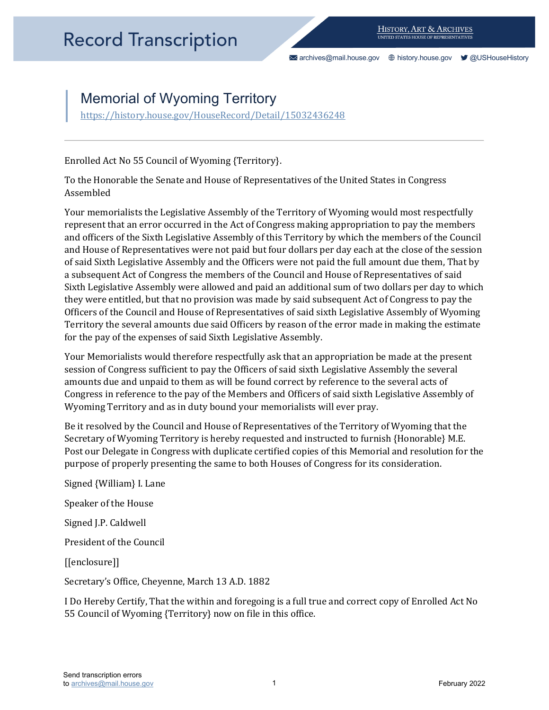[archives@mail.house.gov](mailto:archives@mail.house.gov) [history.house.gov](https://history.house.gov/) [@USHouseHistory](https://twitter.com/ushousehistory/) 

## Memorial of Wyoming Territory

https://history.house.gov/HouseRecord/Detail/15032436248

Enrolled Act No 55 Council of Wyoming {Territory}.

To the Honorable the Senate and House of Representatives of the United States in Congress Assembled

 and officers of the Sixth Legislative Assembly of this Territory by which the members of the Council Your memorialists the Legislative Assembly of the Territory of Wyoming would most respectfully represent that an error occurred in the Act of Congress making appropriation to pay the members and House of Representatives were not paid but four dollars per day each at the close of the session of said Sixth Legislative Assembly and the Officers were not paid the full amount due them, That by a subsequent Act of Congress the members of the Council and House of Representatives of said Sixth Legislative Assembly were allowed and paid an additional sum of two dollars per day to which they were entitled, but that no provision was made by said subsequent Act of Congress to pay the Officers of the Council and House of Representatives of said sixth Legislative Assembly of Wyoming Territory the several amounts due said Officers by reason of the error made in making the estimate for the pay of the expenses of said Sixth Legislative Assembly.

Your Memorialists would therefore respectfully ask that an appropriation be made at the present session of Congress sufficient to pay the Officers of said sixth Legislative Assembly the several amounts due and unpaid to them as will be found correct by reference to the several acts of Congress in reference to the pay of the Members and Officers of said sixth Legislative Assembly of Wyoming Territory and as in duty bound your memorialists will ever pray.

 Post our Delegate in Congress with duplicate certified copies of this Memorial and resolution for the purpose of properly presenting the same to both Houses of Congress for its consideration. Be it resolved by the Council and House of Representatives of the Territory of Wyoming that the Secretary of Wyoming Territory is hereby requested and instructed to furnish {Honorable} M.E.

Signed {William} I. Lane Speaker of the House Signed J.P. Caldwell President of the Council [[enclosure]] Secretary's Office, Cheyenne, March 13 A.D. 1882

I Do Hereby Certify, That the within and foregoing is a full true and correct copy of Enrolled Act No 55 Council of Wyoming {Territory} now on file in this office.